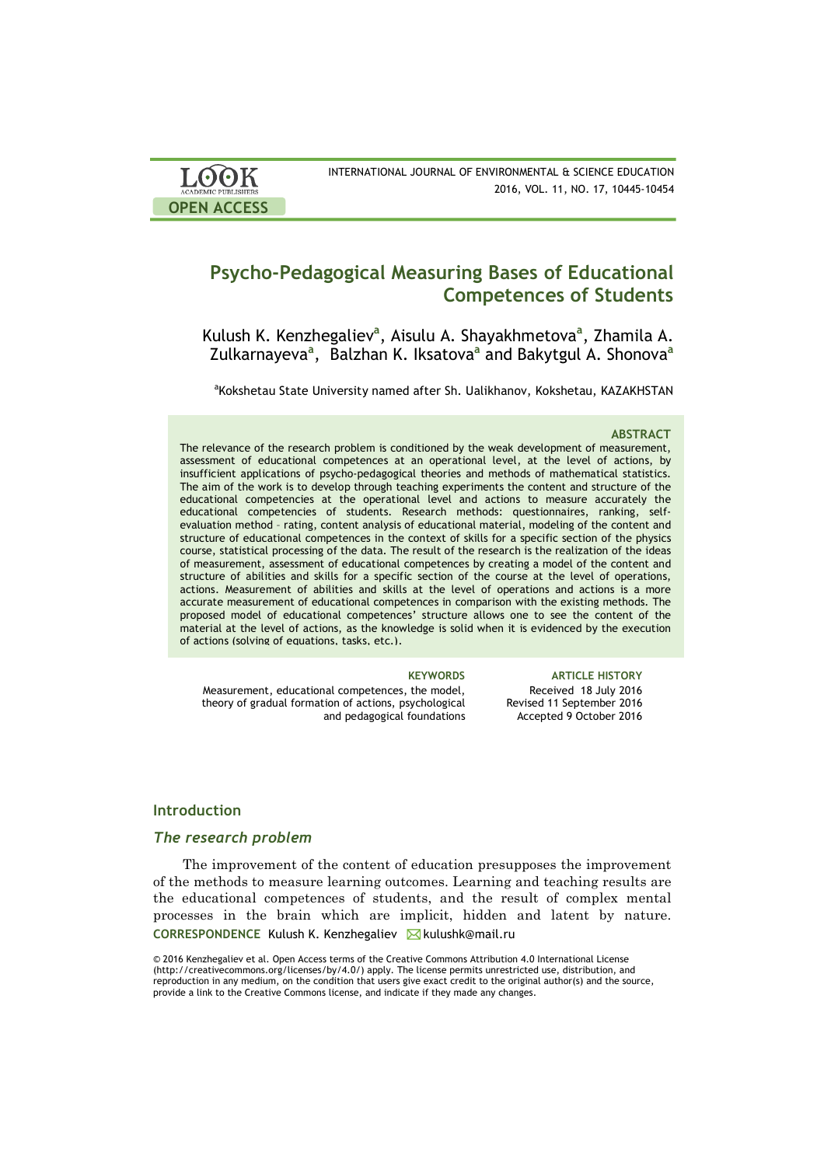| <b>LOOK</b>                | INTERNATIONAL JOURNAL OF ENVIRONMENTAL & SCIENCE EDUCATION |
|----------------------------|------------------------------------------------------------|
| <b>ACADEMIC PUBLISHERS</b> | 2016, VOL. 11, NO. 17, 10445-10454                         |
| <b>OPEN ACCESS</b>         |                                                            |

# **Psycho-Pedagogical Measuring Bases of Educational Competences of Students**

Kulush K. Kenzhegaliev**<sup>a</sup>** , Aisulu A. Shayakhmetova**<sup>a</sup>** , Zhamila A. Zulkarnayeva**<sup>a</sup>** , Balzhan K. Iksatova**<sup>a</sup>** and Bakytgul A. Shonova**<sup>a</sup>**

<sup>a</sup>Kokshetau State University named after Sh. Ualikhanov, Kokshetau, KAZAKHSTAN

#### **ABSTRACT**

The relevance of the research problem is conditioned by the weak development of measurement, assessment of educational competences at an operational level, at the level of actions, by insufficient applications of psycho-pedagogical theories and methods of mathematical statistics. The aim of the work is to develop through teaching experiments the content and structure of the educational competencies at the operational level and actions to measure accurately the educational competencies of students. Research methods: questionnaires, ranking, selfevaluation method – rating, content analysis of educational material, modeling of the content and structure of educational competences in the context of skills for a specific section of the physics course, statistical processing of the data. The result of the research is the realization of the ideas of measurement, assessment of educational competences by creating a model of the content and structure of abilities and skills for a specific section of the course at the level of operations, actions. Measurement of abilities and skills at the level of operations and actions is a more accurate measurement of educational competences in comparison with the existing methods. The proposed model of educational competences' structure allows one to see the content of the material at the level of actions, as the knowledge is solid when it is evidenced by the execution of actions (solving of equations, tasks, etc.).

Measurement, educational competences, the model, theory of gradual formation of actions, psychological and pedagogical foundations

**KEYWORDS ARTICLE HISTORY** Received 18 July 2016 Revised 11 September 2016 Accepted 9 October 2016

## **Introduction**

#### *The research problem*

CORRESPONDENCE Kulush K. Kenzhegaliev **M** kulushk@mail.ru The improvement of the content of education presupposes the improvement of the methods to measure learning outcomes. Learning and teaching results are the educational competences of students, and the result of complex mental processes in the brain which are implicit, hidden and latent by nature.

© 2016 Kenzhegaliev et al. Open Access terms of the Creative Commons Attribution 4.0 International License (http://creativecommons.org/licenses/by/4.0/) apply. The license permits unrestricted use, distribution, and reproduction in any medium, on the condition that users give exact credit to the original author(s) and the source, provide a link to the Creative Commons license, and indicate if they made any changes.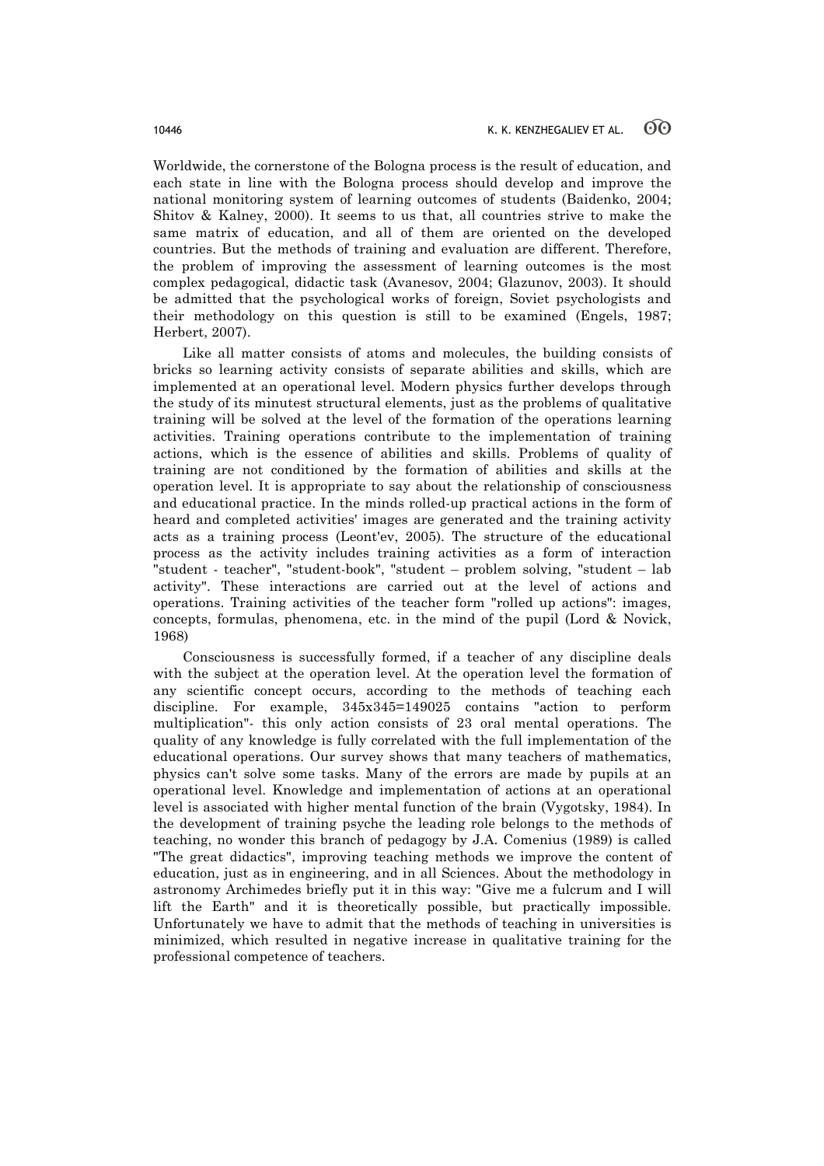Worldwide, the cornerstone of the Bologna process is the result of education, and each state in line with the Bologna process should develop and improve the national monitoring system of learning outcomes of students (Baidenko, 2004; Shitov & Kalney, 2000). It seems to us that, all countries strive to make the same matrix of education, and all of them are oriented on the developed countries. But the methods of training and evaluation are different. Therefore, the problem of improving the assessment of learning outcomes is the most complex pedagogical, didactic task (Avanesov, 2004; Glazunov, 2003). It should be admitted that the psychological works of foreign, Soviet psychologists and their methodology on this question is still to be examined (Engels, 1987; Herbert, 2007).

Like all matter consists of atoms and molecules, the building consists of bricks so learning activity consists of separate abilities and skills, which are implemented at an operational level. Modern physics further develops through the study of its minutest structural elements, just as the problems of qualitative training will be solved at the level of the formation of the operations learning activities. Training operations contribute to the implementation of training actions, which is the essence of abilities and skills. Problems of quality of training are not conditioned by the formation of abilities and skills at the operation level. It is appropriate to say about the relationship of consciousness and educational practice. In the minds rolled-up practical actions in the form of heard and completed activities' images are generated and the training activity acts as a training process (Leont'ev, 2005). The structure of the educational process as the activity includes training activities as a form of interaction "student - teacher", "student-book", "student – problem solving, "student – lab activity". These interactions are carried out at the level of actions and operations. Training activities of the teacher form "rolled up actions": images, concepts, formulas, phenomena, etc. in the mind of the pupil (Lord & Novick, 1968)

Consciousness is successfully formed, if a teacher of any discipline deals with the subject at the operation level. At the operation level the formation of any scientific concept occurs, according to the methods of teaching each discipline. For example, 345х345=149025 contains "action to perform multiplication"- this only action consists of 23 oral mental operations. The quality of any knowledge is fully correlated with the full implementation of the educational operations. Our survey shows that many teachers of mathematics, physics can't solve some tasks. Many of the errors are made by pupils at an operational level. Knowledge and implementation of actions at an operational level is associated with higher mental function of the brain (Vygotsky, 1984). In the development of training psyche the leading role belongs to the methods of teaching, no wonder this branch of pedagogy by J.A. Comenius (1989) is called "The great didactics", improving teaching methods we improve the content of education, just as in engineering, and in all Sciences. About the methodology in astronomy Archimedes briefly put it in this way: "Give me a fulcrum and I will lift the Earth" and it is theoretically possible, but practically impossible. Unfortunately we have to admit that the methods of teaching in universities is minimized, which resulted in negative increase in qualitative training for the professional competence of teachers.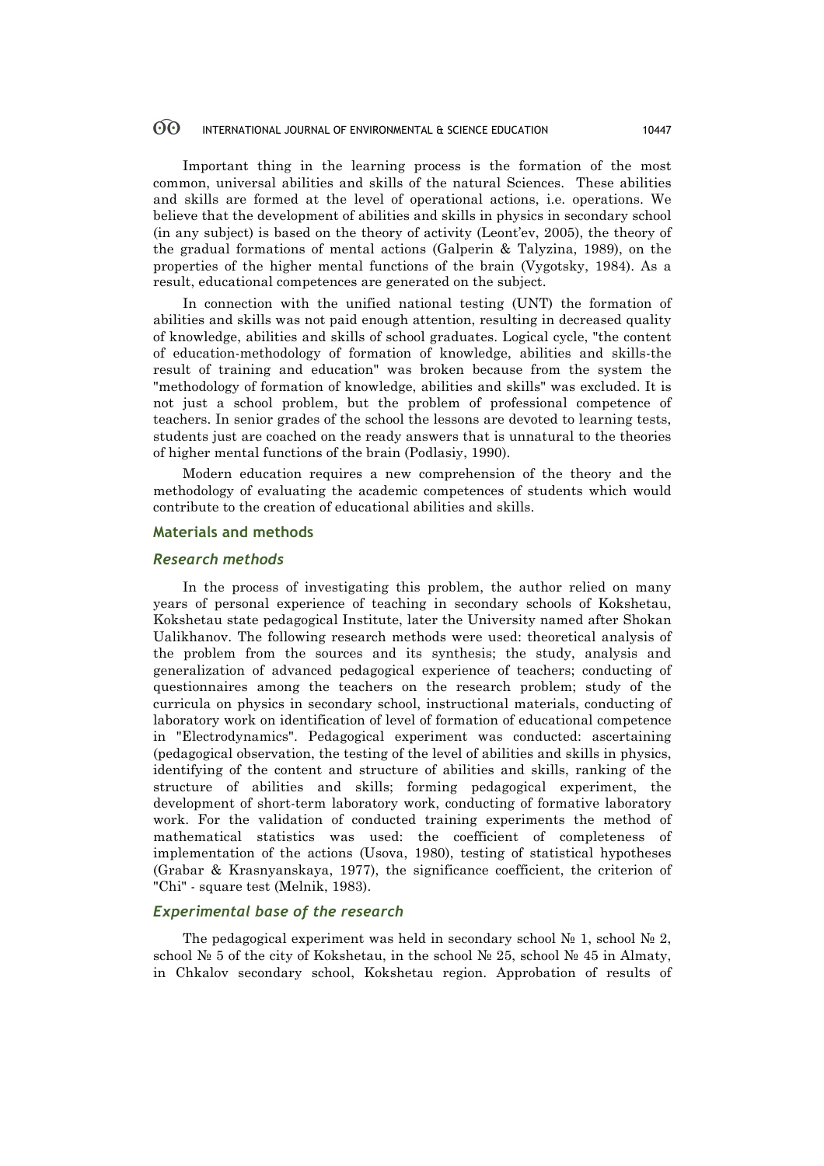#### 60 INTERNATIONAL JOURNAL OF ENVIRONMENTAL & SCIENCE EDUCATION 10447

Important thing in the learning process is the formation of the most common, universal abilities and skills of the natural Sciences. These abilities and skills are formed at the level of operational actions, i.e. operations. We believe that the development of abilities and skills in physics in secondary school (in any subject) is based on the theory of activity (Leont'ev, 2005), the theory of the gradual formations of mental actions (Galperin & Talyzina, 1989), on the properties of the higher mental functions of the brain (Vygotsky, 1984). As a result, educational competences are generated on the subject.

In connection with the unified national testing (UNT) the formation of abilities and skills was not paid enough attention, resulting in decreased quality of knowledge, abilities and skills of school graduates. Logical cycle, "the content of education-methodology of formation of knowledge, abilities and skills-the result of training and education" was broken because from the system the "methodology of formation of knowledge, abilities and skills" was excluded. It is not just a school problem, but the problem of professional competence of teachers. In senior grades of the school the lessons are devoted to learning tests, students just are coached on the ready answers that is unnatural to the theories of higher mental functions of the brain (Podlasiy, 1990).

Modern education requires a new comprehension of the theory and the methodology of evaluating the academic competences of students which would contribute to the creation of educational abilities and skills.

#### **Materials and methods**

### *Research methods*

In the process of investigating this problem, the author relied on many years of personal experience of teaching in secondary schools of Kokshetau, Kokshetau state pedagogical Institute, later the University named after Shokan Ualikhanov. The following research methods were used: theoretical analysis of the problem from the sources and its synthesis; the study, analysis and generalization of advanced pedagogical experience of teachers; conducting of questionnaires among the teachers on the research problem; study of the curricula on physics in secondary school, instructional materials, conducting of laboratory work on identification of level of formation of educational competence in "Electrodynamics". Pedagogical experiment was conducted: ascertaining (pedagogical observation, the testing of the level of abilities and skills in physics, identifying of the content and structure of abilities and skills, ranking of the structure of abilities and skills; forming pedagogical experiment, the development of short-term laboratory work, conducting of formative laboratory work. For the validation of conducted training experiments the method of mathematical statistics was used: the coefficient of completeness of implementation of the actions (Usova, 1980), testing of statistical hypotheses (Grabar & Krasnyanskaya, 1977), the significance coefficient, the criterion of "Chi" - square test (Melnik, 1983).

#### *Experimental base of the research*

The pedagogical experiment was held in secondary school  $\mathbb{N}$  1, school  $\mathbb{N}$  2, school  $\mathbb{N}^{\circ}$  5 of the city of Kokshetau, in the school  $\mathbb{N}^{\circ}$  25, school  $\mathbb{N}^{\circ}$  45 in Almaty, in Chkalov secondary school, Kokshetau region. Approbation of results of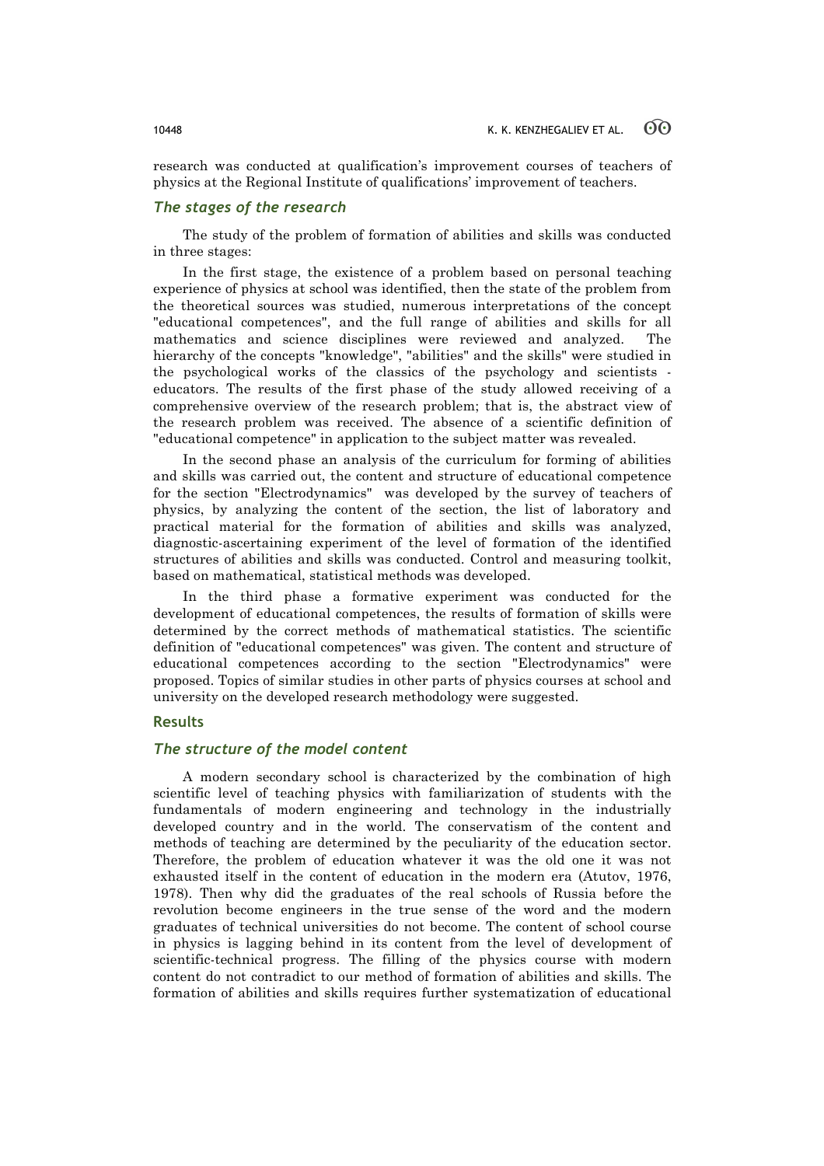research was conducted at qualification's improvement courses of teachers of physics at the Regional Institute of qualifications' improvement of teachers.

### *The stages of the research*

The study of the problem of formation of abilities and skills was conducted in three stages:

In the first stage, the existence of a problem based on personal teaching experience of physics at school was identified, then the state of the problem from the theoretical sources was studied, numerous interpretations of the concept "educational competences", and the full range of abilities and skills for all mathematics and science disciplines were reviewed and analyzed. The hierarchy of the concepts "knowledge", "abilities" and the skills" were studied in the psychological works of the classics of the psychology and scientists educators. The results of the first phase of the study allowed receiving of a comprehensive overview of the research problem; that is, the abstract view of the research problem was received. The absence of a scientific definition of "educational competence" in application to the subject matter was revealed.

In the second phase an analysis of the curriculum for forming of abilities and skills was carried out, the content and structure of educational competence for the section "Electrodynamics" was developed by the survey of teachers of physics, by analyzing the content of the section, the list of laboratory and practical material for the formation of abilities and skills was analyzed, diagnostic-ascertaining experiment of the level of formation of the identified structures of abilities and skills was conducted. Control and measuring toolkit, based on mathematical, statistical methods was developed.

In the third phase a formative experiment was conducted for the development of educational competences, the results of formation of skills were determined by the correct methods of mathematical statistics. The scientific definition of "educational competences" was given. The content and structure of educational competences according to the section "Electrodynamics" were proposed. Topics of similar studies in other parts of physics courses at school and university on the developed research methodology were suggested.

### **Results**

### *The structure of the model content*

A modern secondary school is characterized by the combination of high scientific level of teaching physics with familiarization of students with the fundamentals of modern engineering and technology in the industrially developed country and in the world. The conservatism of the content and methods of teaching are determined by the peculiarity of the education sector. Therefore, the problem of education whatever it was the old one it was not exhausted itself in the content of education in the modern era (Atutov, 1976, 1978). Then why did the graduates of the real schools of Russia before the revolution become engineers in the true sense of the word and the modern graduates of technical universities do not become. The content of school course in physics is lagging behind in its content from the level of development of scientific-technical progress. The filling of the physics course with modern content do not contradict to our method of formation of abilities and skills. The formation of abilities and skills requires further systematization of educational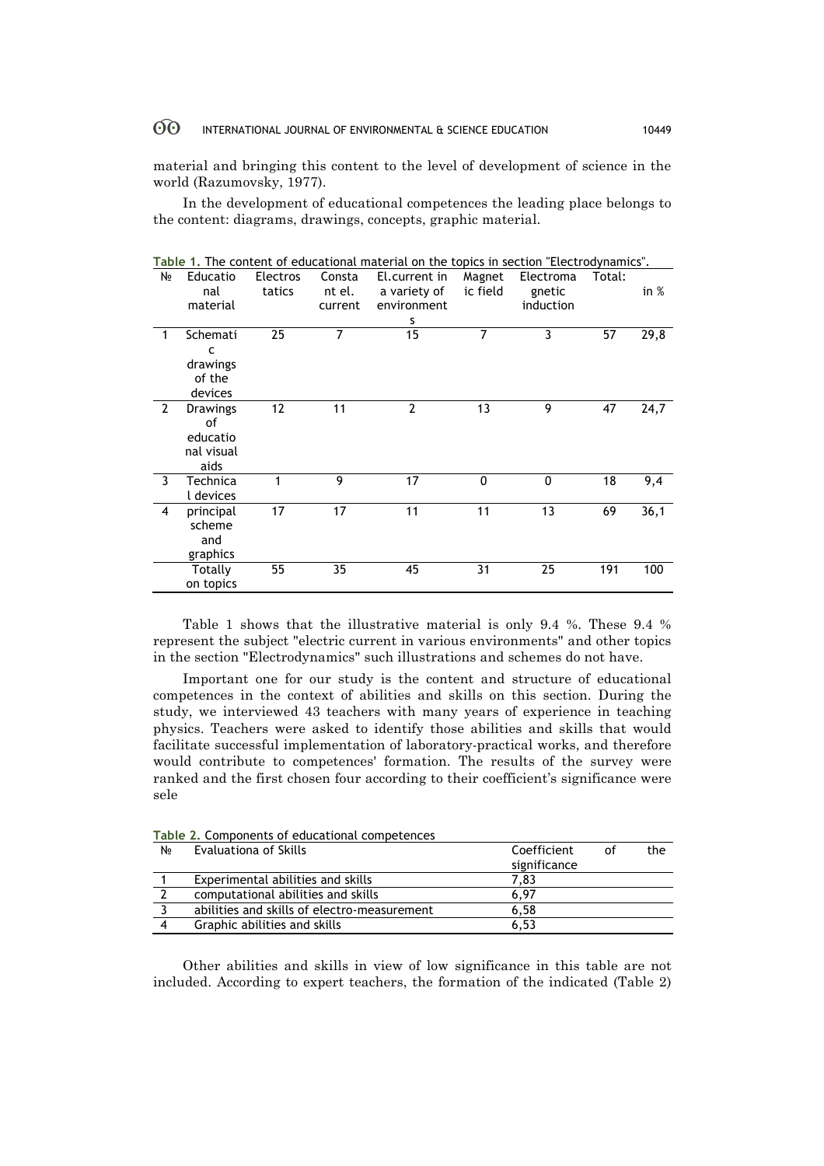#### $\odot$ INTERNATIONAL JOURNAL OF ENVIRONMENTAL & SCIENCE EDUCATION 10449

material and bringing this content to the level of development of science in the world (Razumovsky, 1977).

In the development of educational competences the leading place belongs to the content: diagrams, drawings, concepts, graphic material.

| N∘             | Educatio<br>nal | <b>Electros</b><br>tatics | Consta<br>nt el. | El.current in<br>a variety of | Magnet<br>ic field | Electroma<br>gnetic | Total: | in $%$ |
|----------------|-----------------|---------------------------|------------------|-------------------------------|--------------------|---------------------|--------|--------|
|                | material        |                           | current          | environment                   |                    | induction           |        |        |
|                |                 |                           |                  | s                             |                    |                     |        |        |
| 1              | Schemati        | 25                        | 7                | 15                            | 7                  | 3                   | 57     | 29,8   |
|                | C               |                           |                  |                               |                    |                     |        |        |
|                | drawings        |                           |                  |                               |                    |                     |        |        |
|                | of the          |                           |                  |                               |                    |                     |        |        |
|                | devices         |                           |                  |                               |                    |                     |        |        |
| $\overline{2}$ | <b>Drawings</b> | 12                        | 11               | $\overline{2}$                | 13                 | 9                   | 47     | 24,7   |
|                | of              |                           |                  |                               |                    |                     |        |        |
|                | educatio        |                           |                  |                               |                    |                     |        |        |
|                | nal visual      |                           |                  |                               |                    |                     |        |        |
|                | aids            |                           |                  |                               |                    |                     |        |        |
| 3              | Technica        |                           | 9                | 17                            | 0                  | 0                   | 18     | 9,4    |
|                | l devices       |                           |                  |                               |                    |                     |        |        |
| 4              | principal       | 17                        | 17               | 11                            | 11                 | 13                  | 69     | 36,1   |
|                | scheme          |                           |                  |                               |                    |                     |        |        |
|                | and             |                           |                  |                               |                    |                     |        |        |
|                | graphics        |                           |                  |                               |                    |                     |        |        |
|                | Totally         | 55                        | 35               | 45                            | 31                 | 25                  | 191    | 100    |
|                | on topics       |                           |                  |                               |                    |                     |        |        |

**Table 1.** The content of educational material on the topics in section "Electrodynamics".

Table 1 shows that the illustrative material is only 9.4 %. These 9.4 % represent the subject "electric current in various environments" and other topics in the section "Electrodynamics" such illustrations and schemes do not have.

Important one for our study is the content and structure of educational competences in the context of abilities and skills on this section. During the study, we interviewed 43 teachers with many years of experience in teaching physics. Teachers were asked to identify those abilities and skills that would facilitate successful implementation of laboratory-practical works, and therefore would contribute to competences' formation. The results of the survey were ranked and the first chosen four according to their coefficient's significance were sele

| N∘ | Evaluationa of Skills                       | Coefficient  | the<br>Ωf |  |  |  |  |  |
|----|---------------------------------------------|--------------|-----------|--|--|--|--|--|
|    |                                             | significance |           |  |  |  |  |  |
|    | Experimental abilities and skills           | 7.83         |           |  |  |  |  |  |
|    | computational abilities and skills          | 6.97         |           |  |  |  |  |  |
|    | abilities and skills of electro-measurement | 6,58         |           |  |  |  |  |  |
| 4  | Graphic abilities and skills                | 6.53         |           |  |  |  |  |  |

**Table 2.** Components of educational competences

Other abilities and skills in view of low significance in this table are not included. According to expert teachers, the formation of the indicated (Table 2)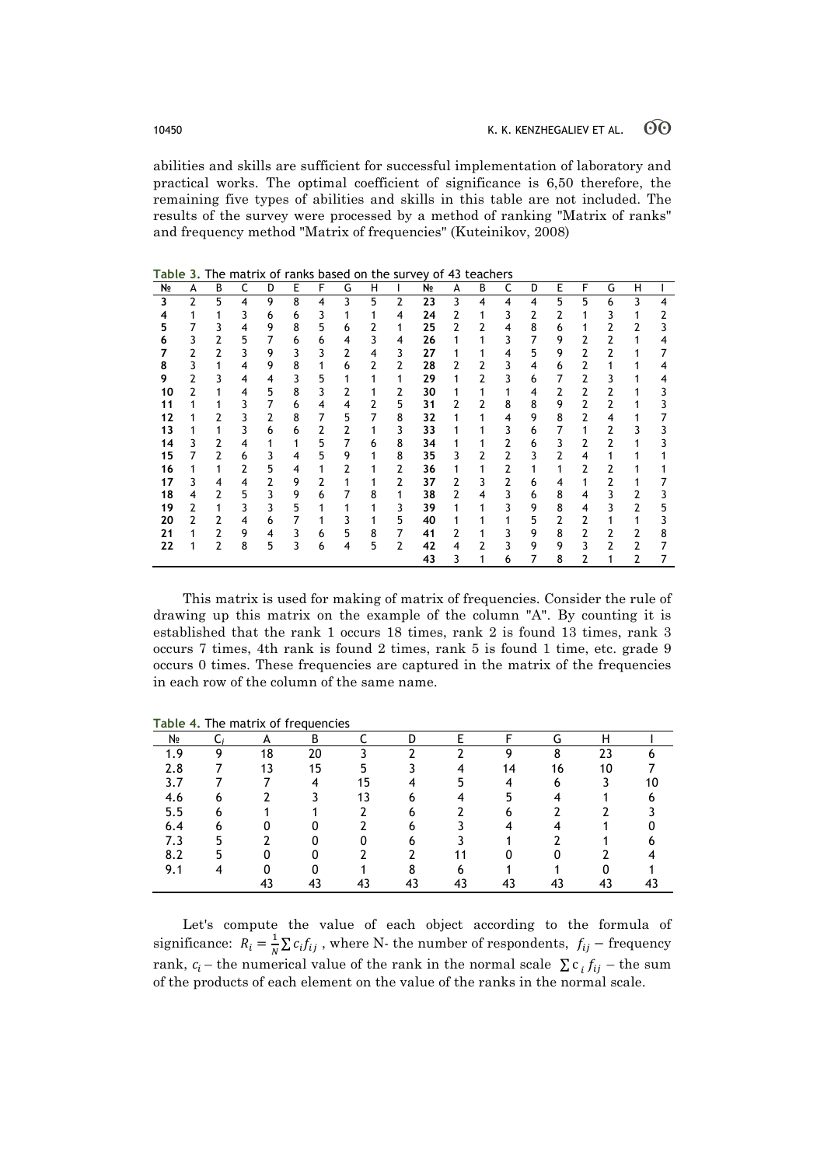abilities and skills are sufficient for successful implementation of laboratory and practical works. The optimal coefficient of significance is 6,50 therefore, the remaining five types of abilities and skills in this table are not included. The results of the survey were processed by a method of ranking "Matrix of ranks" and frequency method "Matrix of frequencies" (Kuteinikov, 2008)

| N∘ | А              | В              | C              | D | Е | F              | G | н              |                | Nº | А | В              | c | D | Е              | F              | G            | н            |   |
|----|----------------|----------------|----------------|---|---|----------------|---|----------------|----------------|----|---|----------------|---|---|----------------|----------------|--------------|--------------|---|
| 3  | $\overline{2}$ | 5              | 4              | 9 | 8 | $\overline{4}$ | 3 | 5              | $\overline{2}$ | 23 | 3 | $\overline{4}$ | 4 | 4 | 5              | 5              | 6            | 3            | 4 |
| 4  | 1              | 1              | 3              | 6 | 6 | 3              | 1 | 1              | 4              | 24 | 2 | 1              | 3 | 2 | 2              | 1              | 3            | 1            | 2 |
| 5  | 7              | 3              | $\overline{4}$ | 9 | 8 | 5              | 6 | 2              | 1              | 25 | 2 | 2              | 4 | 8 | 6              | 1              | 2            | 2            | 3 |
| 6  | 3              | 2              | 5              | 7 | 6 | 6              | 4 | 3              | 4              | 26 | 1 | 1              | 3 | 7 | 9              | 2              | 2            | $\mathbf{1}$ | 4 |
| 7  | $\overline{2}$ | $\overline{2}$ | 3              | 9 | 3 | 3              | 2 | 4              | 3              | 27 | 1 | 1              | 4 | 5 | 9              | 2              | 2            | 1            | 7 |
| 8  | 3              | 1              | $\overline{4}$ | 9 | 8 | 1              | 6 | $\overline{2}$ | $\overline{2}$ | 28 | 2 | 2              | 3 | 4 | 6              | 2              | 1            |              | 4 |
| 9  | 2              | 3              | $\overline{4}$ | 4 | 3 | 5              | 1 | 1              | 1              | 29 | 1 | $\overline{2}$ | 3 | 6 | 7              | 2              | 3            |              | 4 |
| 10 | 2              | 1              | 4              | 5 | 8 | 3              | 2 | 1              | 2              | 30 | 1 | 1              | 1 | 4 | 2              | $\overline{2}$ | 2            |              | 3 |
| 11 | 1              | 1              | 3              | 7 | 6 | $\overline{4}$ | 4 | $\overline{2}$ | 5              | 31 | 2 | 2              | 8 | 8 | 9              | $\overline{2}$ | 2            |              | 3 |
| 12 |                | 2              | 3              | 2 | 8 | 7              | 5 | $\overline{7}$ | 8              | 32 | 1 | 1              | 4 | 9 | 8              | 2              | 4            |              | 7 |
| 13 |                | 1              | 3              | 6 | 6 | 2              | 2 | 1              | 3              | 33 | 1 |                | 3 | 6 | 7              | 1              | 2            | 3            | 3 |
| 14 | 3              | $\overline{2}$ | $\overline{4}$ | 1 | 1 | 5              | 7 | 6              | 8              | 34 | 1 |                | 2 | 6 | 3              | 2              | 2            |              | 3 |
| 15 | 7              | 2              | 6              | 3 | 4 | 5              | 9 | 1              | 8              | 35 | 3 | $\overline{2}$ | 2 | 3 | $\overline{2}$ | $\overline{4}$ | 1            |              |   |
| 16 | 1              | 1              | 2              | 5 | 4 | 1              | 2 | 1              | 2              | 36 | 1 | 1              | 2 | 1 | 1              | 2              | 2            |              |   |
| 17 | 3              | 4              | 4              | 2 | 9 | 2              | 1 | 1              | $\overline{2}$ | 37 | 2 | 3              | 2 | 6 | 4              | 1              | 2            | 1            |   |
| 18 | 4              | 2              | 5              | 3 | 9 | 6              | 7 | 8              | 1              | 38 | 2 | $\overline{4}$ | 3 | 6 | 8              | $\overline{4}$ | 3            | 2            | 3 |
| 19 | 2              | 1              | 3              | 3 | 5 | 1              | 1 | 1              | 3              | 39 | 1 | 1              | 3 | 9 | 8              | 4              | 3            | 2            | 5 |
| 20 | 2              | 2              | 4              | 6 | 7 | 1              | 3 | 1              | 5              | 40 | 1 |                | 1 | 5 | 2              | 2              | 1            | 1            | 3 |
| 21 | 1              | $\overline{2}$ | 9              | 4 | 3 | 6              | 5 | 8              | 7              | 41 | 2 |                | 3 | 9 | 8              | $\overline{2}$ | 2            | 2            | 8 |
| 22 | 1              | 2              | 8              | 5 | 3 | 6              | 4 | 5              | $\overline{2}$ | 42 | 4 | 2              | 3 | 9 | 9              | 3              | $\mathbf{2}$ | 2            | 7 |
|    |                |                |                |   |   |                |   |                |                | 43 | 3 |                | 6 | 7 | 8              | 2              | 1            | 2            | 7 |

**Table 3.** The matrix of ranks based on the survey of 43 teachers

This matrix is used for making of matrix of frequencies. Consider the rule of drawing up this matrix on the example of the column "A". By counting it is established that the rank 1 occurs 18 times, rank 2 is found 13 times, rank 3 occurs 7 times, 4th rank is found 2 times, rank 5 is found 1 time, etc. grade 9 occurs 0 times. These frequencies are captured in the matrix of the frequencies in each row of the column of the same name.

| NΩ  |   | A  | В  |    | D  |    |    | G  | Н  |  |
|-----|---|----|----|----|----|----|----|----|----|--|
| 1.9 | ٥ | 18 | 20 |    |    |    | ິດ |    | 23 |  |
| 2.8 |   | 13 | 15 |    |    |    | 14 | 16 | 10 |  |
| 3.7 |   |    | 4  | 15 | 4  |    | 4  |    |    |  |
| 4.6 |   |    |    | 13 |    |    |    |    |    |  |
| 5.5 |   |    |    |    |    |    |    |    |    |  |
| 6.4 |   |    |    |    |    |    |    |    |    |  |
| 7.3 |   |    |    |    |    |    |    |    |    |  |
| 8.2 |   |    |    |    |    |    |    |    |    |  |
| 9.1 |   |    |    |    | о  |    |    |    |    |  |
|     |   |    | 43 | 43 | 43 | 43 | 43 | 43 | 43 |  |

**Table 4.** The matrix of frequencies

Let's compute the value of each object according to the formula of significance:  $R_i = \frac{1}{N} \sum c_i f_{ij}$ , where N- the number of respondents,  $f_{ij}$  – frequency rank,  $c_i$  – the numerical value of the rank in the normal scale  $\sum c_i f_{ij}$  – the sum of the products of each element on the value of the ranks in the normal scale.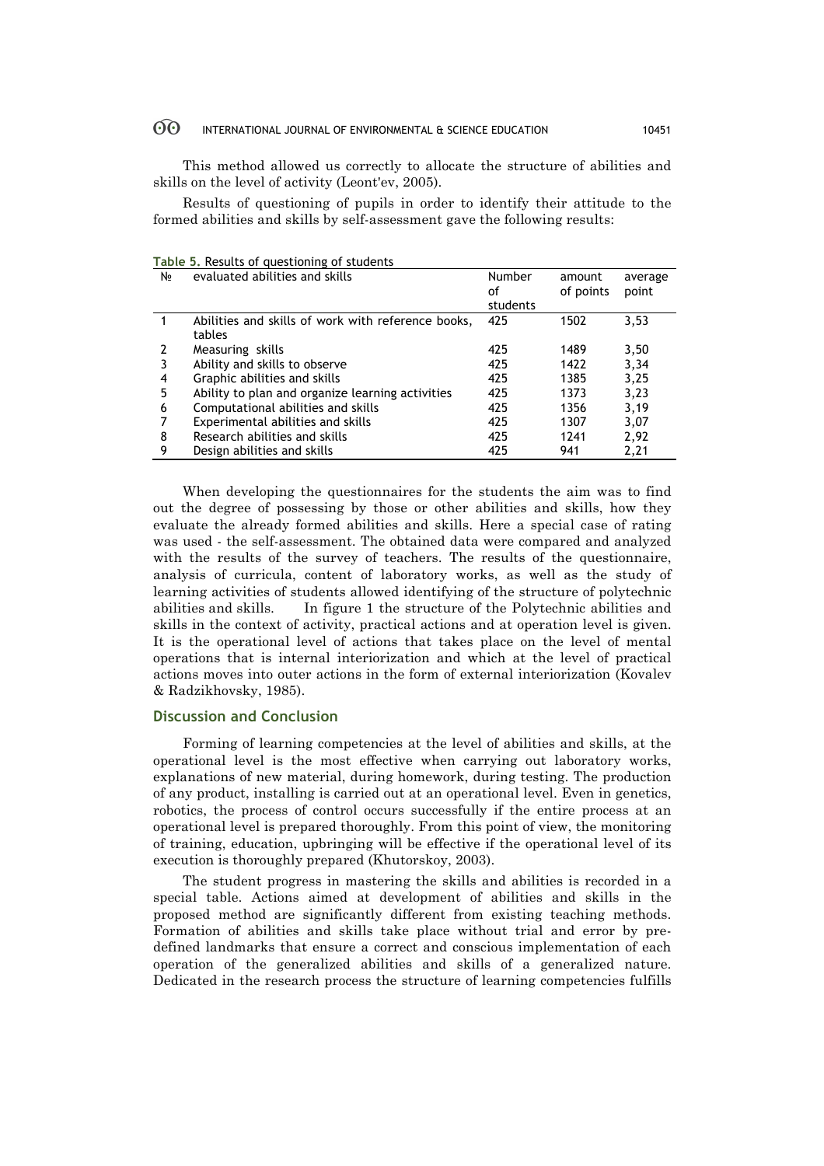#### $\odot$ INTERNATIONAL JOURNAL OF ENVIRONMENTAL & SCIENCE EDUCATION 10451

This method allowed us correctly to allocate the structure of abilities and skills on the level of activity (Leont'ev, 2005).

Results of questioning of pupils in order to identify their attitude to the formed abilities and skills by self-assessment gave the following results:

| N∘ | evaluated abilities and skills                               | Number<br>οf | amount<br>of points | average<br>point |
|----|--------------------------------------------------------------|--------------|---------------------|------------------|
|    |                                                              | students     |                     |                  |
|    | Abilities and skills of work with reference books,<br>tables | 425          | 1502                | 3,53             |
|    | Measuring skills                                             | 425          | 1489                | 3,50             |
|    | Ability and skills to observe                                | 425          | 1422                | 3,34             |
| 4  | Graphic abilities and skills                                 | 425          | 1385                | 3,25             |
| 5  | Ability to plan and organize learning activities             | 425          | 1373                | 3,23             |
| 6  | Computational abilities and skills                           | 425          | 1356                | 3,19             |
|    | Experimental abilities and skills                            | 425          | 1307                | 3,07             |
| 8  | Research abilities and skills                                | 425          | 1241                | 2,92             |
| 9  | Design abilities and skills                                  | 425          | 941                 | 2,21             |

**Table 5.** Results of questioning of students

When developing the questionnaires for the students the aim was to find out the degree of possessing by those or other abilities and skills, how they evaluate the already formed abilities and skills. Here a special case of rating was used - the self-assessment. The obtained data were compared and analyzed with the results of the survey of teachers. The results of the questionnaire, analysis of curricula, content of laboratory works, as well as the study of learning activities of students allowed identifying of the structure of polytechnic abilities and skills. In figure 1 the structure of the Polytechnic abilities and skills in the context of activity, practical actions and at operation level is given. It is the operational level of actions that takes place on the level of mental operations that is internal interiorization and which at the level of practical actions moves into outer actions in the form of external interiorization (Kovalev & Radzikhovsky, 1985).

### **Discussion and Conclusion**

Forming of learning competencies at the level of abilities and skills, at the operational level is the most effective when carrying out laboratory works, explanations of new material, during homework, during testing. The production of any product, installing is carried out at an operational level. Even in genetics, robotics, the process of control occurs successfully if the entire process at an operational level is prepared thoroughly. From this point of view, the monitoring of training, education, upbringing will be effective if the operational level of its execution is thoroughly prepared (Khutorskoy, 2003).

The student progress in mastering the skills and abilities is recorded in a special table. Actions aimed at development of abilities and skills in the proposed method are significantly different from existing teaching methods. Formation of abilities and skills take place without trial and error by predefined landmarks that ensure a correct and conscious implementation of each operation of the generalized abilities and skills of a generalized nature. Dedicated in the research process the structure of learning competencies fulfills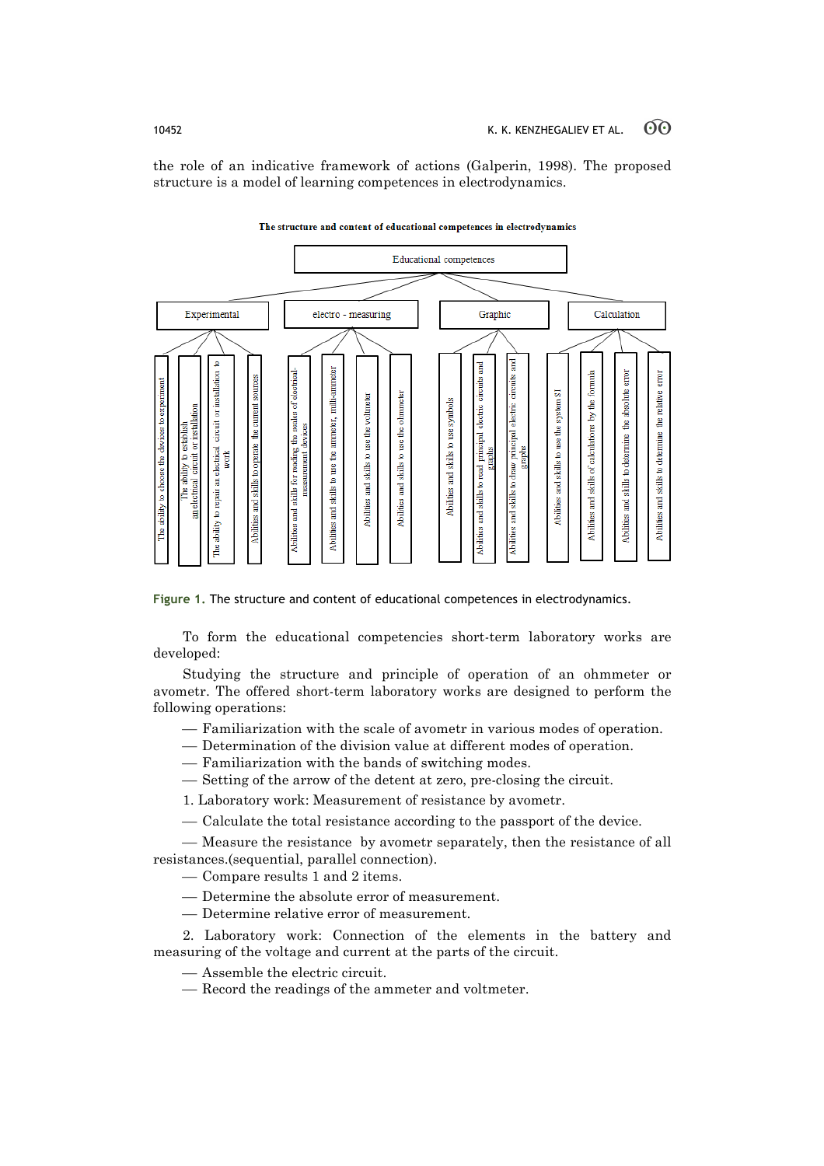the role of an indicative framework of actions (Galperin, 1998). The proposed structure is a model of learning competences in electrodynamics.

#### **Educational competences** Experimental electro - measuring Graphic Calculation g  $\circ$ B milli-ammeter iloli Abilities and skills for reading the scales of electrical Ē circuits The ability to repair an electrical circuit or installa g absolute Abilities and skills to determine the relative The ability to choose the devices to experim and skills to use the system SI voltmeter ohmmeter by the 1 Abilities and skills to use symbols The ability to establish<br>an electrical circuit or installation the current electric electric Abilities and skills to use the ammeter, Abilities and skills to determine the devices and skills of calculations ē and skills to use the and skills to draw principal skills to read principal Abilities and skills to use t Abilities and skills to operate stephs work neasurement Abilities a **Abilities** ਵੂ Abilities ities Abilities

#### The structure and content of educational competences in electrodynamics

**Figure 1.** The structure and content of educational competences in electrodynamics.

To form the educational competencies short-term laboratory works are developed:

Studying the structure and principle of operation of an ohmmeter or avometr. The offered short-term laboratory works are designed to perform the following operations:

- ¾ Familiarization with the scale of avometr in various modes of operation.
- ¾ Determination of the division value at different modes of operation.
- ¾ Familiarization with the bands of switching modes.
- ¾ Setting of the arrow of the detent at zero, pre-closing the circuit.
- 1. Laboratory work: Measurement of resistance by avometr.
- ¾ Calculate the total resistance according to the passport of the device.

— Measure the resistance by avometr separately, then the resistance of all resistances.(sequential, parallel connection).

¾ Compare results 1 and 2 items.

- ¾ Determine the absolute error of measurement.
- ¾ Determine relative error of measurement.

2. Laboratory work: Connection of the elements in the battery and measuring of the voltage and current at the parts of the circuit.

¾ Assemble the electric circuit.

— Record the readings of the ammeter and voltmeter.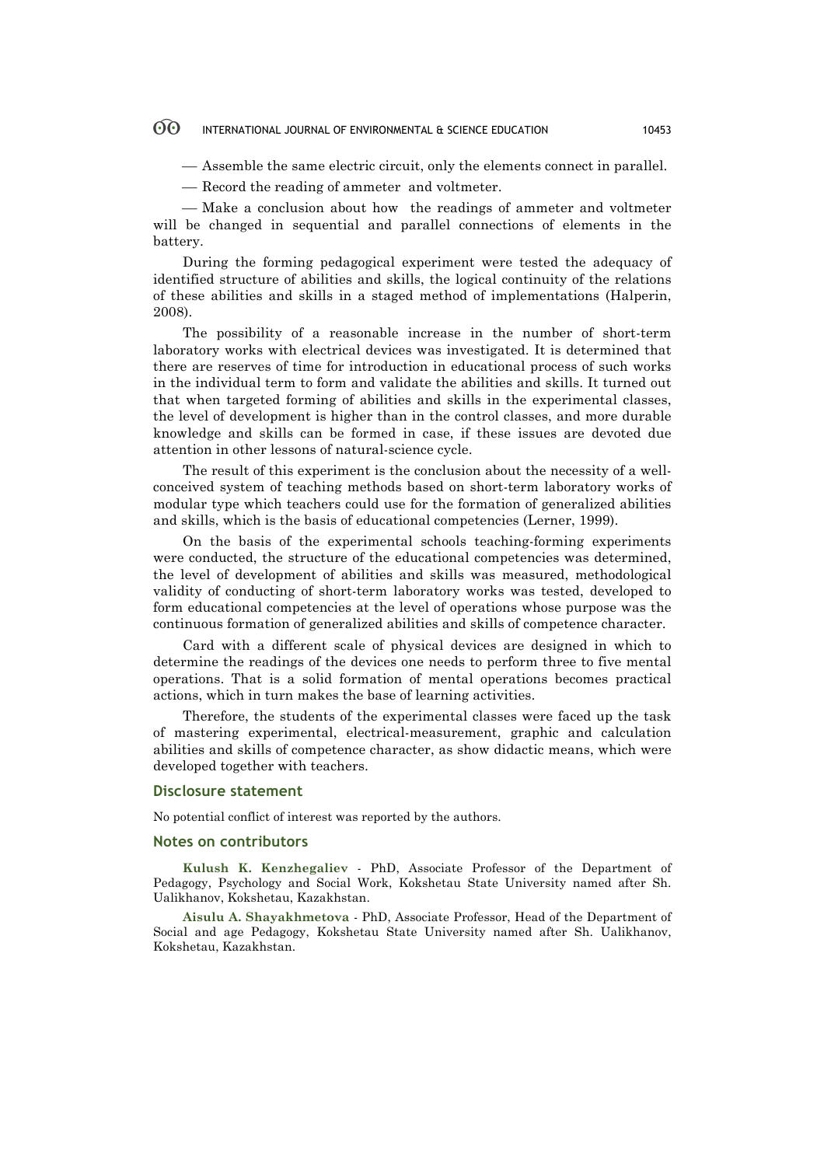#### $\odot$ INTERNATIONAL JOURNAL OF ENVIRONMENTAL & SCIENCE EDUCATION 10453

¾ Assemble the same electric circuit, only the elements connect in parallel.

— Record the reading of ammeter and voltmeter.

— Make a conclusion about how the readings of ammeter and voltmeter will be changed in sequential and parallel connections of elements in the battery.

During the forming pedagogical experiment were tested the adequacy of identified structure of abilities and skills, the logical continuity of the relations of these abilities and skills in a staged method of implementations (Halperin, 2008).

The possibility of a reasonable increase in the number of short-term laboratory works with electrical devices was investigated. It is determined that there are reserves of time for introduction in educational process of such works in the individual term to form and validate the abilities and skills. It turned out that when targeted forming of abilities and skills in the experimental classes, the level of development is higher than in the control classes, and more durable knowledge and skills can be formed in case, if these issues are devoted due attention in other lessons of natural-science cycle.

The result of this experiment is the conclusion about the necessity of a wellconceived system of teaching methods based on short-term laboratory works of modular type which teachers could use for the formation of generalized abilities and skills, which is the basis of educational competencies (Lerner, 1999).

On the basis of the experimental schools teaching-forming experiments were conducted, the structure of the educational competencies was determined, the level of development of abilities and skills was measured, methodological validity of conducting of short-term laboratory works was tested, developed to form educational competencies at the level of operations whose purpose was the continuous formation of generalized abilities and skills of competence character.

Card with a different scale of physical devices are designed in which to determine the readings of the devices one needs to perform three to five mental operations. That is a solid formation of mental operations becomes practical actions, which in turn makes the base of learning activities.

Therefore, the students of the experimental classes were faced up the task of mastering experimental, electrical-measurement, graphic and calculation abilities and skills of competence character, as show didactic means, which were developed together with teachers.

#### **Disclosure statement**

No potential conflict of interest was reported by the authors.

#### **Notes on contributors**

**Kulush K. Kenzhegaliev** - PhD, Associate Professor of the Department of Pedagogy, Psychology and Social Work, Kokshetau State University named after Sh. Ualikhanov, Kokshetau, Kazakhstan.

**Aisulu A. Shayakhmetova** - PhD, Associate Professor, Head of the Department of Social and age Pedagogy, Kokshetau State University named after Sh. Ualikhanov, Kokshetau, Kazakhstan.